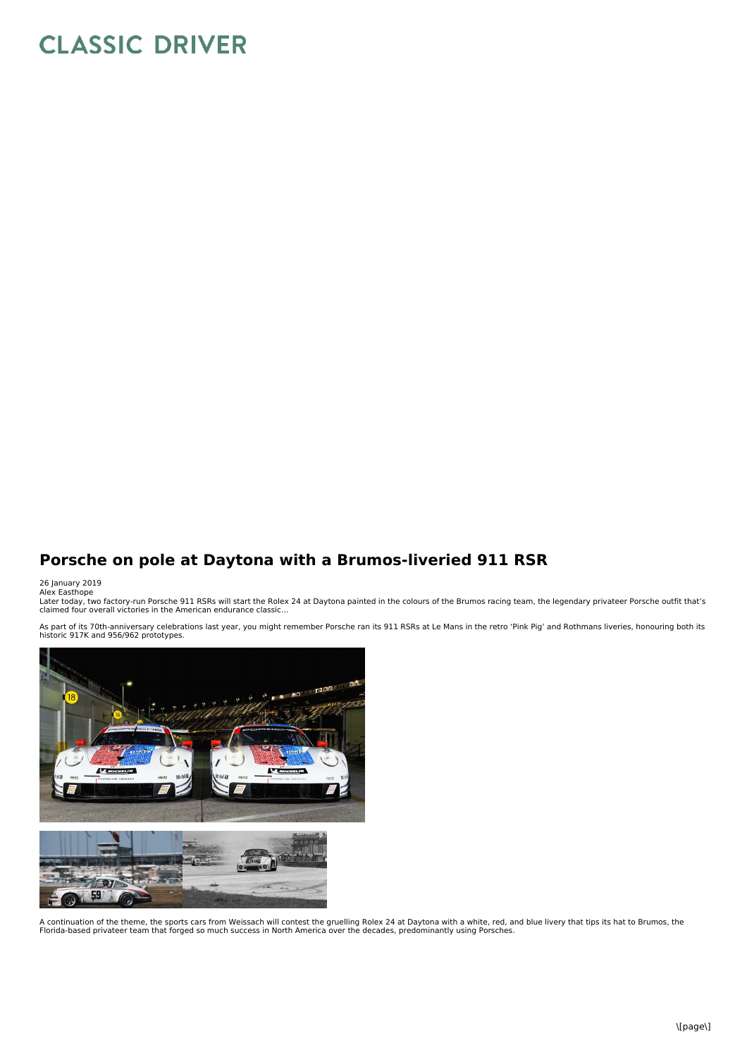## **CLASSIC DRIVER**

## **Porsche on pole at Daytona with a Brumos-liveried 911 RSR**

## 26 January 2019<br>Alex Easthope

Later today, two factory-run Porsche 911 RSRs will start the Rolex 24 at Daytona painted in the colours of the Brumos racing team, the legendary privateer Porsche outfit that's<br>claimed four overall victories in the America

As part of its 70th-anniversary celebrations last year, you might remember Porsche ran its 911 RSRs at Le Mans in the retro 'Pink Pig' and Rothmans liveries, honouring both its<br>historic 917K and 956/962 prototypes.



A continuation of the theme, the sports cars from Weissach will contest the gruelling Rolex 24 at Daytona with a white, red, and blue livery that tips its hat to Brumos, the<br>Florida-based privateer team that forged so much